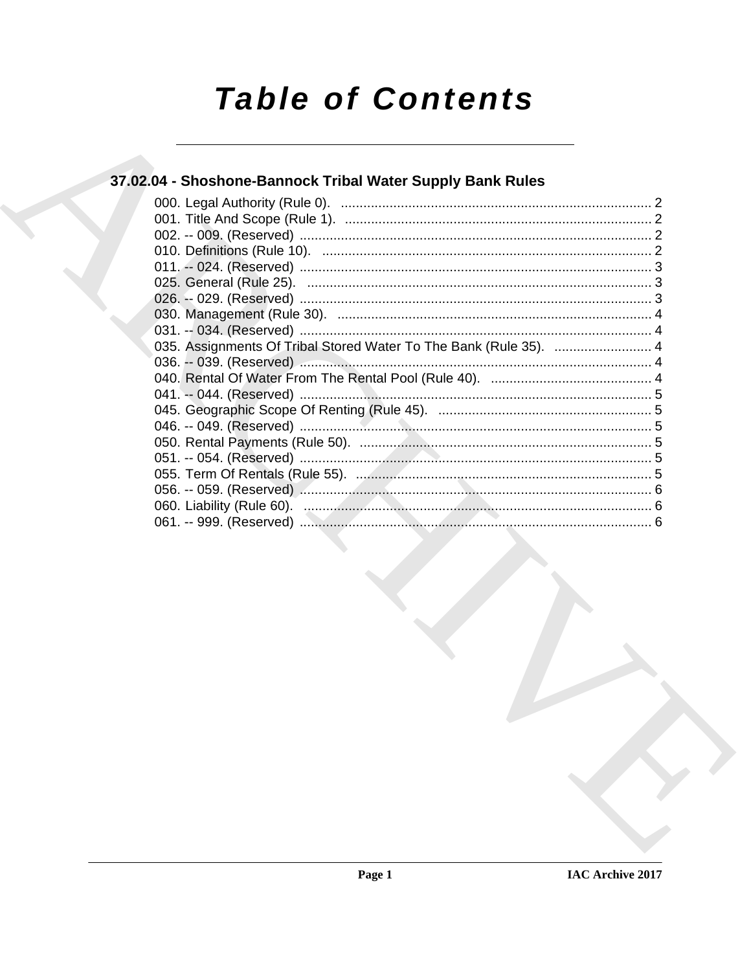# **Table of Contents**

### 37.02.04 - Shoshone-Bannock Tribal Water Supply Bank Rules

| 035. Assignments Of Tribal Stored Water To The Bank (Rule 35).  4 |  |  |
|-------------------------------------------------------------------|--|--|
|                                                                   |  |  |
|                                                                   |  |  |
|                                                                   |  |  |
|                                                                   |  |  |
|                                                                   |  |  |
|                                                                   |  |  |
|                                                                   |  |  |
|                                                                   |  |  |
|                                                                   |  |  |
|                                                                   |  |  |
|                                                                   |  |  |
|                                                                   |  |  |
|                                                                   |  |  |
|                                                                   |  |  |
|                                                                   |  |  |
|                                                                   |  |  |
|                                                                   |  |  |
|                                                                   |  |  |
|                                                                   |  |  |
|                                                                   |  |  |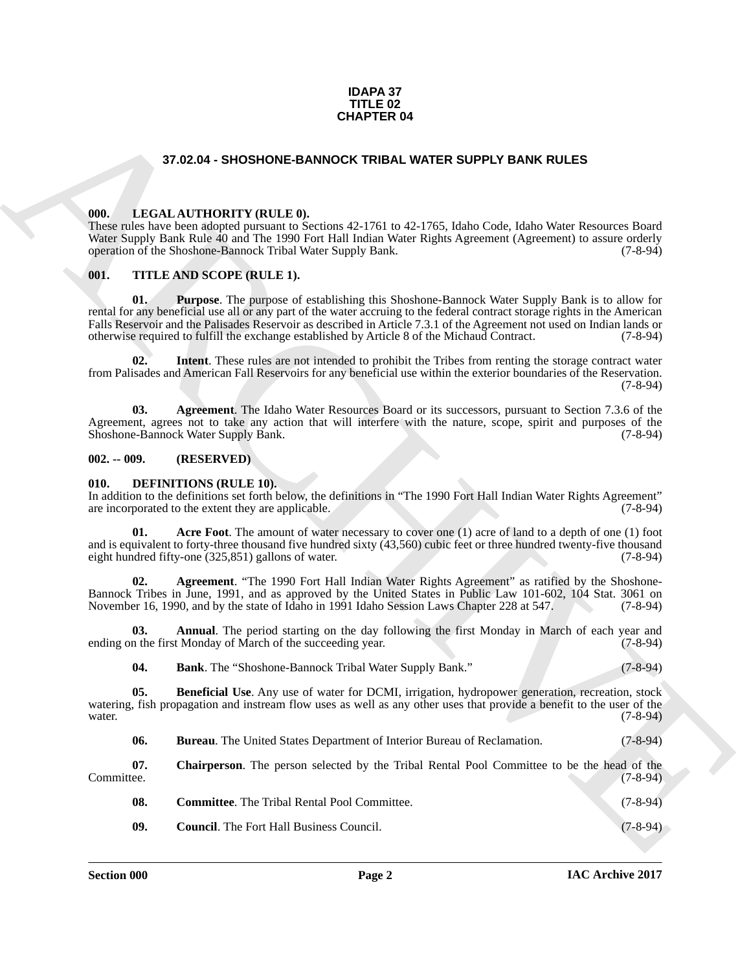#### **IDAPA 37 TITLE 02 CHAPTER 04**

#### **37.02.04 - SHOSHONE-BANNOCK TRIBAL WATER SUPPLY BANK RULES**

#### <span id="page-1-1"></span><span id="page-1-0"></span>**000. LEGAL AUTHORITY (RULE 0).**

These rules have been adopted pursuant to Sections 42-1761 to 42-1765, Idaho Code, Idaho Water Resources Board Water Supply Bank Rule 40 and The 1990 Fort Hall Indian Water Rights Agreement (Agreement) to assure orderly operation of the Shoshone-Bannock Tribal Water Supply Bank. (7-8-94) operation of the Shoshone-Bannock Tribal Water Supply Bank.

#### <span id="page-1-2"></span>**001. TITLE AND SCOPE (RULE 1).**

37.02.04 - SHOSHORE-BANNOCK TRUBAL WATER SUPPLY BANK RULES<br>
001. LECAL ALTITORITY (RULE)<br>
001. LECAL ALTITORITY (RULE)<br>
1998 - March 2008 - School 2013 (1998 - 1995 Make Cole Islam Ware Research Doct 2013)<br>
903. THE ARCH **01. Purpose**. The purpose of establishing this Shoshone-Bannock Water Supply Bank is to allow for rental for any beneficial use all or any part of the water accruing to the federal contract storage rights in the American Falls Reservoir and the Palisades Reservoir as described in Article 7.3.1 of the Agreement not used on Indian lands or otherwise required to fulfill the exchange established by Article 8 of the Michaud Contract. (7-8-94) otherwise required to fulfill the exchange established by Article 8 of the Michaud Contract.

**Intent**. These rules are not intended to prohibit the Tribes from renting the storage contract water from Palisades and American Fall Reservoirs for any beneficial use within the exterior boundaries of the Reservation. (7-8-94)

**03. Agreement**. The Idaho Water Resources Board or its successors, pursuant to Section 7.3.6 of the Agreement, agrees not to take any action that will interfere with the nature, scope, spirit and purposes of the Shoshone-Bannock Water Supply Bank. (7-8-94) Shoshone-Bannock Water Supply Bank.

#### <span id="page-1-3"></span>**002. -- 009. (RESERVED)**

#### <span id="page-1-5"></span><span id="page-1-4"></span>**010. DEFINITIONS (RULE 10).**

In addition to the definitions set forth below, the definitions in "The 1990 Fort Hall Indian Water Rights Agreement" are incorporated to the extent they are applicable. (7-8-94)

<span id="page-1-6"></span>**01.** Acre Foot. The amount of water necessary to cover one (1) acre of land to a depth of one (1) foot and is equivalent to forty-three thousand five hundred sixty (43,560) cubic feet or three hundred twenty-five thousand eight hundred fifty-one (325,851) gallons of water. (7-8-94)

<span id="page-1-7"></span>**02. Agreement**. "The 1990 Fort Hall Indian Water Rights Agreement" as ratified by the Shoshone-Bannock Tribes in June, 1991, and as approved by the United States in Public Law 101-602, 104 Stat. 3061 on November 16, 1990, and by the state of Idaho in 1991 Idaho Session Laws Chapter 228 at 547. (7-8-94) November 16, 1990, and by the state of Idaho in 1991 Idaho Session Laws Chapter 228 at 547.

**03. Annual**. The period starting on the day following the first Monday in March of each year and ending on the first Monday of March of the succeeding year. (7-8-94)

<span id="page-1-10"></span><span id="page-1-9"></span><span id="page-1-8"></span>**04. Bank**. The "Shoshone-Bannock Tribal Water Supply Bank." (7-8-94)

**05. Beneficial Use**. Any use of water for DCMI, irrigation, hydropower generation, recreation, stock watering, fish propagation and instream flow uses as well as any other uses that provide a benefit to the user of the water. water.  $(7-8-94)$ 

<span id="page-1-12"></span><span id="page-1-11"></span>**06. Bureau**. The United States Department of Interior Bureau of Reclamation. (7-8-94)

**07.** Chairperson. The person selected by the Tribal Rental Pool Committee to be the head of the Committee. (7-8-94) Committee. (7-8-94)

<span id="page-1-14"></span><span id="page-1-13"></span>**08.** Committee. The Tribal Rental Pool Committee. (7-8-94) **09.** Council. The Fort Hall Business Council. (7-8-94)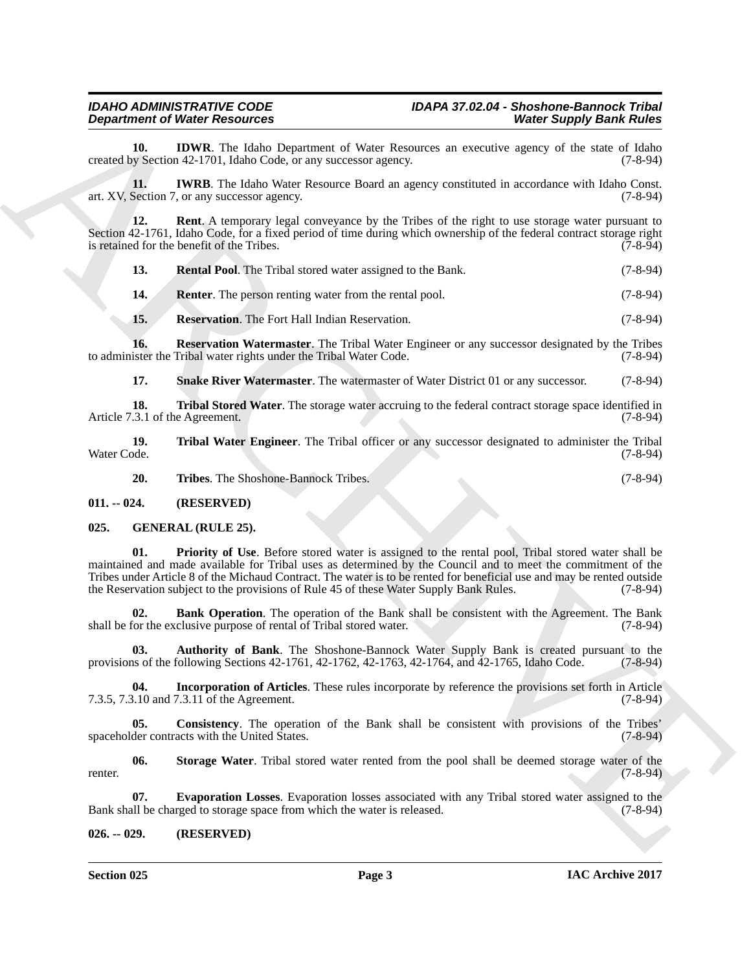### *Department of Water Resources*

<span id="page-2-3"></span>**10. IDWR**. The Idaho Department of Water Resources an executive agency of the state of Idaho v Section 42-1701, Idaho Code, or any successor agency. (7-8-94) created by Section 42-1701, Idaho Code, or any successor agency.

<span id="page-2-4"></span>**11. IWRB**. The Idaho Water Resource Board an agency constituted in accordance with Idaho Const. art. XV, Section 7, or any successor agency. (7-8-94)

**12. Rent**. A temporary legal conveyance by the Tribes of the right to use storage water pursuant to Section 42-1761, Idaho Code, for a fixed period of time during which ownership of the federal contract storage right is retained for the benefit of the Tribes. (7-8-94) is retained for the benefit of the Tribes.

<span id="page-2-6"></span><span id="page-2-5"></span>

| <b>13.</b> |  | <b>Rental Pool.</b> The Tribal stored water assigned to the Bank. | $(7-8-94)$ |
|------------|--|-------------------------------------------------------------------|------------|
|------------|--|-------------------------------------------------------------------|------------|

<span id="page-2-7"></span>**14. Renter**. The person renting water from the rental pool. (7-8-94)

<span id="page-2-9"></span><span id="page-2-8"></span>**15. Reservation**. The Fort Hall Indian Reservation. (7-8-94)

**16. Reservation Watermaster**. The Tribal Water Engineer or any successor designated by the Tribes ister the Tribal water rights under the Tribal Water Code. (7-8-94) to administer the Tribal water rights under the Tribal Water Code.

<span id="page-2-12"></span><span id="page-2-11"></span><span id="page-2-10"></span>**17. Snake River Watermaster**. The watermaster of Water District 01 or any successor. (7-8-94)

**18. Tribal Stored Water**. The storage water accruing to the federal contract storage space identified in .3.1 of the Agreement. (7-8-94) Article 7.3.1 of the Agreement.

**19. 19.** Tribal Water Engineer. The Tribal officer or any successor designated to administer the Tribal Water Code. (7-8-94) Water Code. (7-8-94)

<span id="page-2-20"></span><span id="page-2-14"></span><span id="page-2-13"></span>**20. Tribes**. The Shoshone-Bannock Tribes. (7-8-94)

<span id="page-2-0"></span>**011. -- 024. (RESERVED)**

<span id="page-2-1"></span>**025. GENERAL (RULE 25).**

**Department of Neuro Encyclope Control of the Planetment of Neuro Europe Control of the Europe Control of the Europe Control of the Europe Control of the Europe Control of the Europe Control of the Europe Control of the E 01. Priority of Use**. Before stored water is assigned to the rental pool, Tribal stored water shall be maintained and made available for Tribal uses as determined by the Council and to meet the commitment of the Tribes under Article 8 of the Michaud Contract. The water is to be rented for beneficial use and may be rented outside the Reservation subject to the provisions of Rule 45 of these Water Supply Bank Rules. (7-8-94)

<span id="page-2-16"></span>**02. Bank Operation**. The operation of the Bank shall be consistent with the Agreement. The Bank for the exclusive purpose of rental of Tribal stored water. (7-8-94) shall be for the exclusive purpose of rental of Tribal stored water.

<span id="page-2-15"></span>**03. Authority of Bank**. The Shoshone-Bannock Water Supply Bank is created pursuant to the provisions of the following Sections 42-1761, 42-1762, 42-1763, 42-1764, and 42-1765, Idaho Code. (7-8-94)

<span id="page-2-19"></span>**04. Incorporation of Articles**. These rules incorporate by reference the provisions set forth in Article 3.10 and 7.3.11 of the Agreement. 7.3.5, 7.3.10 and 7.3.11 of the Agreement.

<span id="page-2-17"></span>**05.** Consistency. The operation of the Bank shall be consistent with provisions of the Tribes' der contracts with the United States. (7-8-94) spaceholder contracts with the United States.

<span id="page-2-21"></span>**06. Storage Water**. Tribal stored water rented from the pool shall be deemed storage water of the renter. (7-8-94)

<span id="page-2-18"></span>**07. Evaporation Losses**. Evaporation losses associated with any Tribal stored water assigned to the ull be charged to storage space from which the water is released. (7-8-94) Bank shall be charged to storage space from which the water is released.

<span id="page-2-2"></span>**026. -- 029. (RESERVED)**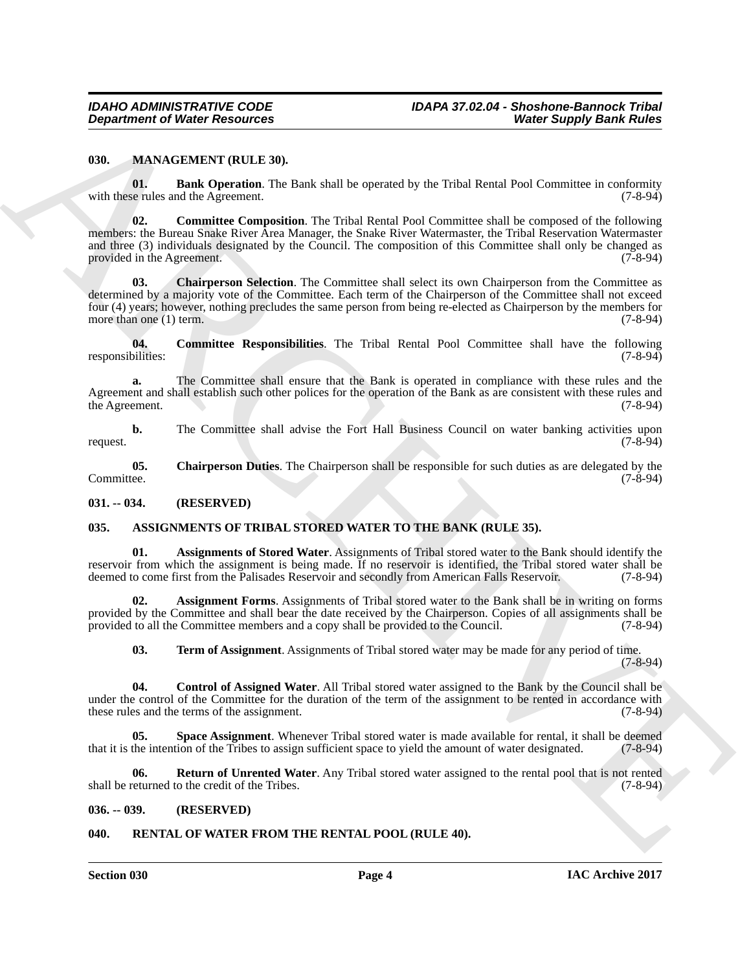#### <span id="page-3-12"></span><span id="page-3-0"></span>**030. MANAGEMENT (RULE 30).**

<span id="page-3-16"></span><span id="page-3-13"></span>**01. Bank Operation**. The Bank shall be operated by the Tribal Rental Pool Committee in conformity with these rules and the Agreement. (7-8-94)

ARCHIVE **02. Committee Composition**. The Tribal Rental Pool Committee shall be composed of the following members: the Bureau Snake River Area Manager, the Snake River Watermaster, the Tribal Reservation Watermaster and three (3) individuals designated by the Council. The composition of this Committee shall only be changed as provided in the Agreement. (7-8-94)

<span id="page-3-15"></span>**03.** Chairperson Selection. The Committee shall select its own Chairperson from the Committee as determined by a majority vote of the Committee. Each term of the Chairperson of the Committee shall not exceed four (4) years; however, nothing precludes the same person from being re-elected as Chairperson by the members for more than one (1) term.  $(7-8-94)$ 

<span id="page-3-17"></span>**04. Committee Responsibilities**. The Tribal Rental Pool Committee shall have the following responsibilities:

**a.** The Committee shall ensure that the Bank is operated in compliance with these rules and the Agreement and shall establish such other polices for the operation of the Bank as are consistent with these rules and the Agreement. (7-8-94) the Agreement.

**b.** The Committee shall advise the Fort Hall Business Council on water banking activities upon request. (7-8-94)

<span id="page-3-14"></span>**05.** Chairperson Duties. The Chairperson shall be responsible for such duties as are delegated by the Committee. (7-8-94) Committee. (7-8-94)

<span id="page-3-1"></span>**031. -- 034. (RESERVED)**

#### <span id="page-3-5"></span><span id="page-3-2"></span>**035. ASSIGNMENTS OF TRIBAL STORED WATER TO THE BANK (RULE 35).**

<span id="page-3-7"></span>**01. Assignments of Stored Water**. Assignments of Tribal stored water to the Bank should identify the reservoir from which the assignment is being made. If no reservoir is identified, the Tribal stored water shall be deemed to come first from the Palisades Reservoir and secondly from American Falls Reservoir. (7-8-94) deemed to come first from the Palisades Reservoir and secondly from American Falls Reservoir.

**02.** Assignment Forms. Assignments of Tribal stored water to the Bank shall be in writing on forms provided by the Committee and shall bear the date received by the Chairperson. Copies of all assignments shall be<br>provided to all the Committee members and a copy shall be provided to the Council. (7-8-94) provided to all the Committee members and a copy shall be provided to the Council.

<span id="page-3-11"></span><span id="page-3-10"></span><span id="page-3-8"></span><span id="page-3-6"></span>**03. Term of Assignment**. Assignments of Tribal stored water may be made for any period of time. (7-8-94)

**04. Control of Assigned Water**. All Tribal stored water assigned to the Bank by the Council shall be under the control of the Committee for the duration of the term of the assignment to be rented in accordance with these rules and the terms of the assignment. (7-8-94)

**05. Space Assignment**. Whenever Tribal stored water is made available for rental, it shall be deemed the intention of the Tribes to assign sufficient space to yield the amount of water designated. (7-8-94) that it is the intention of the Tribes to assign sufficient space to yield the amount of water designated.

<span id="page-3-9"></span>**06. Return of Unrented Water**. Any Tribal stored water assigned to the rental pool that is not rented eturned to the credit of the Tribes. (7-8-94) shall be returned to the credit of the Tribes.

#### <span id="page-3-3"></span>**036. -- 039. (RESERVED)**

#### <span id="page-3-18"></span><span id="page-3-4"></span>**040. RENTAL OF WATER FROM THE RENTAL POOL (RULE 40).**

**Section 030 Page 4**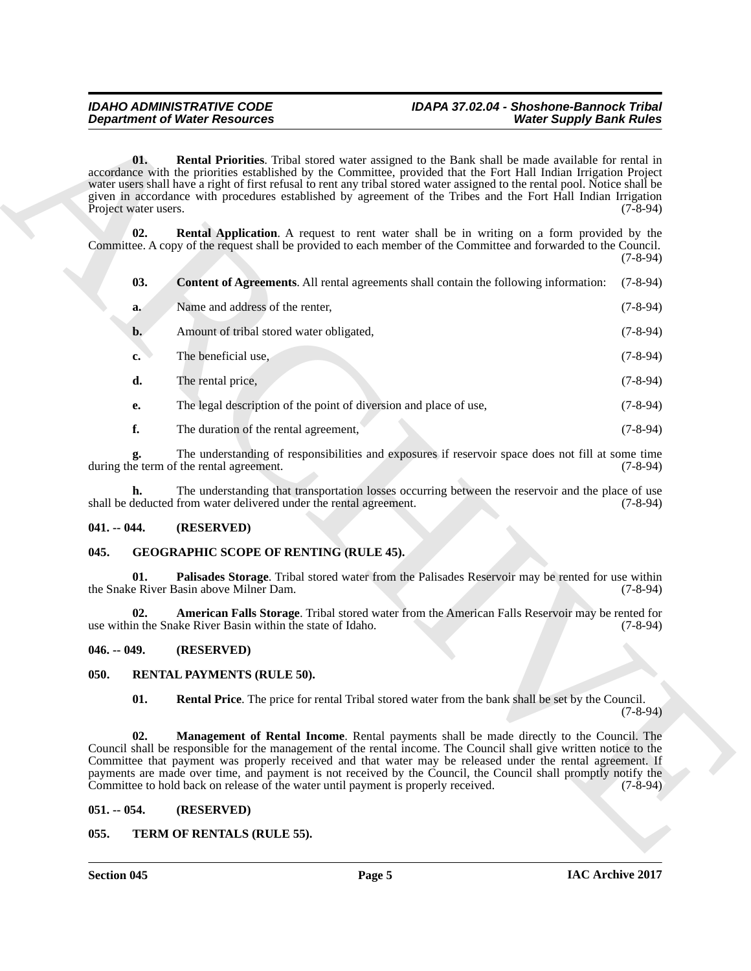### *Department of Water Resources*

## <span id="page-4-11"></span><span id="page-4-10"></span><span id="page-4-9"></span>*IDAHO ADMINISTRATIVE CODE IDAPA 37.02.04 - Shoshone-Bannock Tribal*

|                             | <b>Department of Water Resources</b>                                                                                                                                                                                                                                                                                                                                                                                                                                                                                                | <b>Water Supply Bank Rules</b> |
|-----------------------------|-------------------------------------------------------------------------------------------------------------------------------------------------------------------------------------------------------------------------------------------------------------------------------------------------------------------------------------------------------------------------------------------------------------------------------------------------------------------------------------------------------------------------------------|--------------------------------|
| 01.<br>Project water users. | Rental Priorities. Tribal stored water assigned to the Bank shall be made available for rental in<br>accordance with the priorities established by the Committee, provided that the Fort Hall Indian Irrigation Project<br>water users shall have a right of first refusal to rent any tribal stored water assigned to the rental pool. Notice shall be<br>given in accordance with procedures established by agreement of the Tribes and the Fort Hall Indian Irrigation                                                           | $(7-8-94)$                     |
| 02.                         | <b>Rental Application.</b> A request to rent water shall be in writing on a form provided by the<br>Committee. A copy of the request shall be provided to each member of the Committee and forwarded to the Council.                                                                                                                                                                                                                                                                                                                | $(7-8-94)$                     |
| 03.                         | <b>Content of Agreements.</b> All rental agreements shall contain the following information:                                                                                                                                                                                                                                                                                                                                                                                                                                        | $(7-8-94)$                     |
| a.                          | Name and address of the renter,                                                                                                                                                                                                                                                                                                                                                                                                                                                                                                     | $(7-8-94)$                     |
| b.                          | Amount of tribal stored water obligated,                                                                                                                                                                                                                                                                                                                                                                                                                                                                                            | $(7-8-94)$                     |
| c.                          | The beneficial use,                                                                                                                                                                                                                                                                                                                                                                                                                                                                                                                 | $(7-8-94)$                     |
| d.                          | The rental price,                                                                                                                                                                                                                                                                                                                                                                                                                                                                                                                   | $(7-8-94)$                     |
| е.                          | The legal description of the point of diversion and place of use,                                                                                                                                                                                                                                                                                                                                                                                                                                                                   | $(7-8-94)$                     |
| f.                          | The duration of the rental agreement,                                                                                                                                                                                                                                                                                                                                                                                                                                                                                               | $(7-8-94)$                     |
| g.                          | The understanding of responsibilities and exposures if reservoir space does not fill at some time<br>during the term of the rental agreement.                                                                                                                                                                                                                                                                                                                                                                                       | $(7-8-94)$                     |
| h.                          | The understanding that transportation losses occurring between the reservoir and the place of use<br>shall be deducted from water delivered under the rental agreement.                                                                                                                                                                                                                                                                                                                                                             | $(7-8-94)$                     |
| $041. - 044.$               | (RESERVED)                                                                                                                                                                                                                                                                                                                                                                                                                                                                                                                          |                                |
| 045.                        | <b>GEOGRAPHIC SCOPE OF RENTING (RULE 45).</b>                                                                                                                                                                                                                                                                                                                                                                                                                                                                                       |                                |
| 01.                         | Palisades Storage. Tribal stored water from the Palisades Reservoir may be rented for use within<br>the Snake River Basin above Milner Dam.                                                                                                                                                                                                                                                                                                                                                                                         | $(7-8-94)$                     |
| 02.                         | American Falls Storage. Tribal stored water from the American Falls Reservoir may be rented for<br>use within the Snake River Basin within the state of Idaho.                                                                                                                                                                                                                                                                                                                                                                      | $(7-8-94)$                     |
| $046. - 049.$               | (RESERVED)                                                                                                                                                                                                                                                                                                                                                                                                                                                                                                                          |                                |
| 050.                        | <b>RENTAL PAYMENTS (RULE 50).</b>                                                                                                                                                                                                                                                                                                                                                                                                                                                                                                   |                                |
| 01.                         | <b>Rental Price</b> . The price for rental Tribal stored water from the bank shall be set by the Council.                                                                                                                                                                                                                                                                                                                                                                                                                           | $(7-8-94)$                     |
| 02.                         | Management of Rental Income. Rental payments shall be made directly to the Council. The<br>Council shall be responsible for the management of the rental income. The Council shall give written notice to the<br>Committee that payment was properly received and that water may be released under the rental agreement. If<br>payments are made over time, and payment is not received by the Council, the Council shall promptly notify the<br>Committee to hold back on release of the water until payment is properly received. | $(7 - 8 - 94)$                 |
| $051. - 054.$               | (RESERVED)                                                                                                                                                                                                                                                                                                                                                                                                                                                                                                                          |                                |
| 055.                        | TERM OF RENTALS (RULE 55).                                                                                                                                                                                                                                                                                                                                                                                                                                                                                                          |                                |

#### <span id="page-4-0"></span>**041. -- 044. (RESERVED)**

#### <span id="page-4-8"></span><span id="page-4-6"></span><span id="page-4-1"></span>**045. GEOGRAPHIC SCOPE OF RENTING (RULE 45).**

#### <span id="page-4-7"></span><span id="page-4-2"></span>**046. -- 049. (RESERVED)**

#### <span id="page-4-14"></span><span id="page-4-13"></span><span id="page-4-12"></span><span id="page-4-3"></span>**050. RENTAL PAYMENTS (RULE 50).**

#### <span id="page-4-4"></span>**051. -- 054. (RESERVED)**

#### <span id="page-4-15"></span><span id="page-4-5"></span>**055. TERM OF RENTALS (RULE 55).**

**Section 045 Page 5**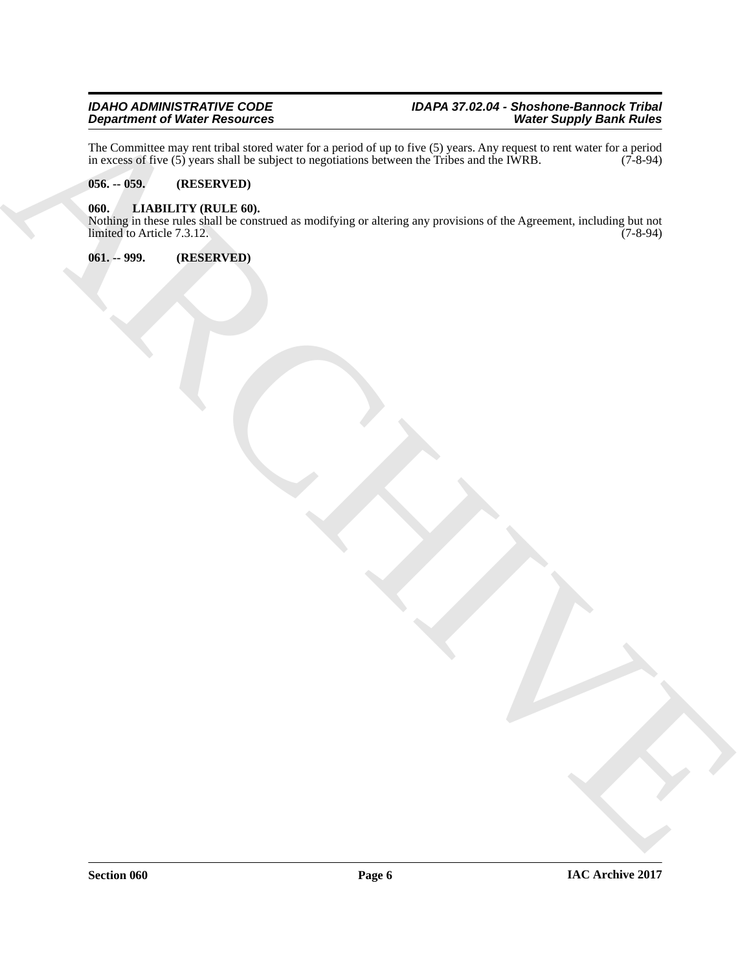The Committee may rent tribal stored water for a period of up to five (5) years. Any request to rent water for a period in excess of five  $(5)$  years shall be subject to negotiations between the Tribes and the IWRB.  $(7\text{-}8\text{-}94)$ 

#### <span id="page-5-0"></span>**056. -- 059. (RESERVED)**

#### <span id="page-5-1"></span>**060. LIABILITY (RULE 60).**

ARCHIVE Nothing in these rules shall be construed as modifying or altering any provisions of the Agreement, including but not limited to Article 7.3.12.

<span id="page-5-2"></span>**061. -- 999. (RESERVED)**